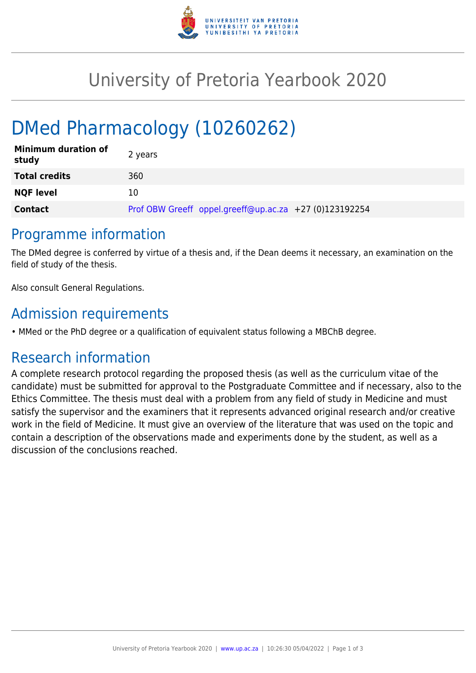

## University of Pretoria Yearbook 2020

# DMed Pharmacology (10260262)

| <b>Minimum duration of</b><br>study | 2 years                                                |
|-------------------------------------|--------------------------------------------------------|
| <b>Total credits</b>                | 360                                                    |
| <b>NQF level</b>                    | 10                                                     |
| <b>Contact</b>                      | Prof OBW Greeff oppel.greeff@up.ac.za +27 (0)123192254 |

### Programme information

The DMed degree is conferred by virtue of a thesis and, if the Dean deems it necessary, an examination on the field of study of the thesis.

Also consult General Regulations.

## Admission requirements

• MMed or the PhD degree or a qualification of equivalent status following a MBChB degree.

## Research information

A complete research protocol regarding the proposed thesis (as well as the curriculum vitae of the candidate) must be submitted for approval to the Postgraduate Committee and if necessary, also to the Ethics Committee. The thesis must deal with a problem from any field of study in Medicine and must satisfy the supervisor and the examiners that it represents advanced original research and/or creative work in the field of Medicine. It must give an overview of the literature that was used on the topic and contain a description of the observations made and experiments done by the student, as well as a discussion of the conclusions reached.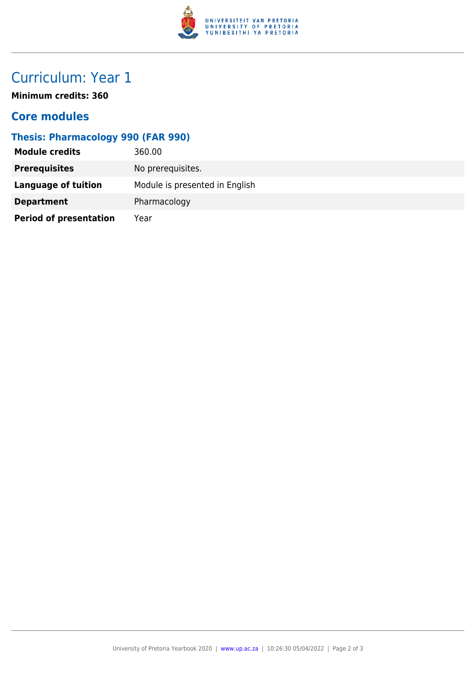

## Curriculum: Year 1

**Minimum credits: 360**

#### **Core modules**

#### **Thesis: Pharmacology 990 (FAR 990)**

| <b>Module credits</b>         | 360.00                         |
|-------------------------------|--------------------------------|
| <b>Prerequisites</b>          | No prerequisites.              |
| Language of tuition           | Module is presented in English |
| <b>Department</b>             | Pharmacology                   |
| <b>Period of presentation</b> | Year                           |